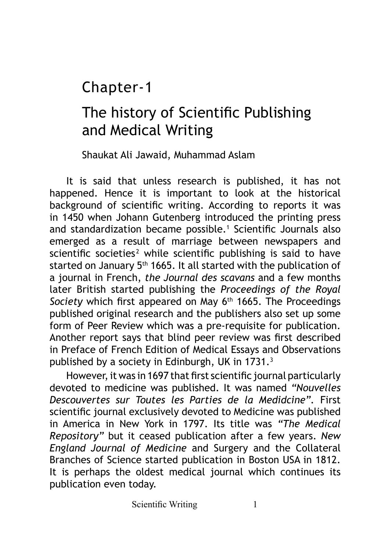## Chapter-1

## The history of Scientific Publishing and Medical Writing

Shaukat Ali Jawaid, Muhammad Aslam

It is said that unless research is published, it has not happened. Hence it is important to look at the historical background of scientific writing. According to reports it was in 1450 when Johann Gutenberg introduced the printing press and standardization became possible.<sup>1</sup> Scientific Journals also emerged as a result of marriage between newspapers and scientific societies<sup>2</sup> while scientific publishing is said to have started on January 5<sup>th</sup> 1665. It all started with the publication of a journal in French, *the Journal des scavans* and a few months later British started publishing the *Proceedings of the Royal*  Society which first appeared on May 6<sup>th</sup> 1665. The Proceedings published original research and the publishers also set up some form of Peer Review which was a pre-requisite for publication. Another report says that blind peer review was first described in Preface of French Edition of Medical Essays and Observations published by a society in Edinburgh, UK in 1731. $^3$ 

However, it was in 1697 that first scientific journal particularly devoted to medicine was published. It was named *"Nouvelles Descouvertes sur Toutes les Parties de la Medidcine".* First scientific journal exclusively devoted to Medicine was published in America in New York in 1797. Its title was *"The Medical Repository"* but it ceased publication after a few years. *New England Journal of Medicine* and Surgery and the Collateral Branches of Science started publication in Boston USA in 1812. It is perhaps the oldest medical journal which continues its publication even today.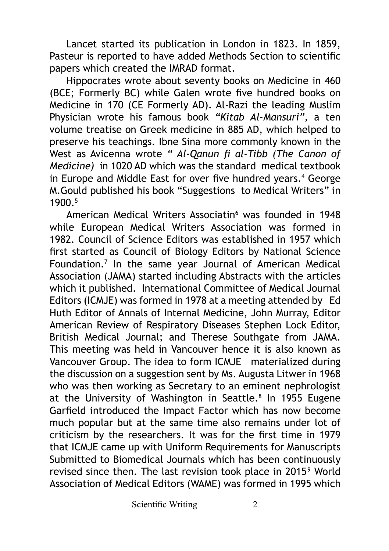Lancet started its publication in London in 1823. In 1859, Pasteur is reported to have added Methods Section to scientific papers which created the IMRAD format.

Hippocrates wrote about seventy books on Medicine in 460 (BCE; Formerly BC) while Galen wrote five hundred books on Medicine in 170 (CE Formerly AD). Al-Razi the leading Muslim Physician wrote his famous book *"Kitab Al-Mansuri",* a ten volume treatise on Greek medicine in 885 AD, which helped to preserve his teachings. Ibne Sina more commonly known in the West as Avicenna wrote *" Al-Qanun fi al-Tibb (The Canon of Medicine)* in 1020 AD which was the standard medical textbook in Europe and Middle East for over five hundred years.<sup>4</sup> George M.Gould published his book "Suggestions to Medical Writers" in 1900 5

American Medical Writers Associatin<sup>6</sup> was founded in 1948 while European Medical Writers Association was formed in 1982. Council of Science Editors was established in 1957 which first started as Council of Biology Editors by National Science Foundation.7 In the same year Journal of American Medical Association (JAMA) started including Abstracts with the articles which it published. International Committee of Medical Journal Editors (ICMJE) was formed in 1978 at a meeting attended by Ed Huth Editor of Annals of Internal Medicine, John Murray, Editor American Review of Respiratory Diseases Stephen Lock Editor, British Medical Journal; and Therese Southgate from JAMA. This meeting was held in Vancouver hence it is also known as Vancouver Group. The idea to form ICMJE materialized during the discussion on a suggestion sent by Ms. Augusta Litwer in 1968 who was then working as Secretary to an eminent nephrologist at the University of Washington in Seattle.<sup>8</sup> In 1955 Eugene Garfield introduced the Impact Factor which has now become much popular but at the same time also remains under lot of criticism by the researchers. It was for the first time in 1979 that ICMJE came up with Uniform Requirements for Manuscripts Submitted to Biomedical Journals which has been continuously revised since then. The last revision took place in 20159 World Association of Medical Editors (WAME) was formed in 1995 which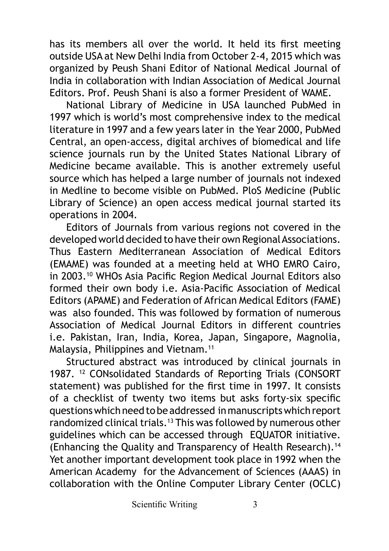has its members all over the world. It held its first meeting outside USA at New Delhi India from October 2-4, 2015 which was organized by Peush Shani Editor of National Medical Journal of India in collaboration with Indian Association of Medical Journal Editors. Prof. Peush Shani is also a former President of WAME.

National Library of Medicine in USA launched PubMed in 1997 which is world's most comprehensive index to the medical literature in 1997 and a few years later in the Year 2000, PubMed Central, an open-access, digital archives of biomedical and life science journals run by the United States National Library of Medicine became available. This is another extremely useful source which has helped a large number of journals not indexed in Medline to become visible on PubMed. PloS Medicine (Public Library of Science) an open access medical journal started its operations in 2004.

Editors of Journals from various regions not covered in the developed world decided to have their own Regional Associations. Thus Eastern Mediterranean Association of Medical Editors (EMAME) was founded at a meeting held at WHO EMRO Cairo, in 2003.<sup>10</sup> WHOs Asia Pacific Region Medical Journal Editors also formed their own body i.e. Asia-Pacific Association of Medical Editors (APAME) and Federation of African Medical Editors (FAME) was also founded. This was followed by formation of numerous Association of Medical Journal Editors in different countries i.e. Pakistan, Iran, India, Korea, Japan, Singapore, Magnolia, Malaysia, Philippines and Vietnam.<sup>11</sup>

Structured abstract was introduced by clinical journals in 1987. <sup>12</sup> CONsolidated Standards of Reporting Trials (CONSORT statement) was published for the first time in 1997. It consists of a checklist of twenty two items but asks forty-six specific questions which need to be addressed in manuscripts which report randomized clinical trials.13 This was followed by numerous other guidelines which can be accessed through EQUATOR initiative. (Enhancing the Quality and Transparency of Health Research).<sup>14</sup> Yet another important development took place in 1992 when the American Academy for the Advancement of Sciences (AAAS) in collaboration with the Online Computer Library Center (OCLC)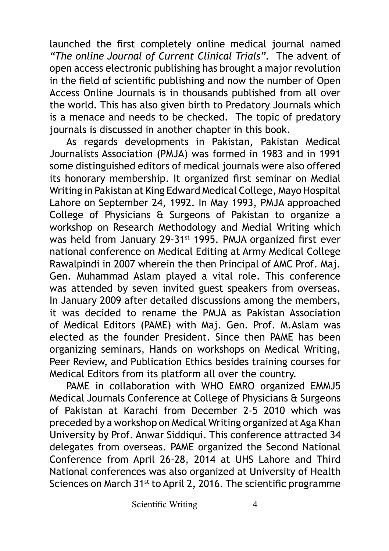launched the first completely online medical journal named *"The online Journal of Current Clinical Trials".* The advent of open access electronic publishing has brought a major revolution in the field of scientific publishing and now the number of Open Access Online Journals is in thousands published from all over the world. This has also given birth to Predatory Journals which is a menace and needs to be checked. The topic of predatory journals is discussed in another chapter in this book.

As regards developments in Pakistan, Pakistan Medical Journalists Association (PMJA) was formed in 1983 and in 1991 some distinguished editors of medical journals were also offered its honorary membership. It organized first seminar on Medial Writing in Pakistan at King Edward Medical College, Mayo Hospital Lahore on September 24, 1992. In May 1993, PMJA approached College of Physicians & Surgeons of Pakistan to organize a workshop on Research Methodology and Medial Writing which was held from January 29-31st 1995. PMJA organized first ever national conference on Medical Editing at Army Medical College Rawalpindi in 2007 wherein the then Principal of AMC Prof. Maj. Gen. Muhammad Aslam played a vital role. This conference was attended by seven invited guest speakers from overseas. In January 2009 after detailed discussions among the members, it was decided to rename the PMJA as Pakistan Association of Medical Editors (PAME) with Maj. Gen. Prof. M.Aslam was elected as the founder President. Since then PAME has been organizing seminars, Hands on workshops on Medical Writing, Peer Review, and Publication Ethics besides training courses for Medical Editors from its platform all over the country.

PAME in collaboration with WHO EMRO organized EMMJ5 Medical Journals Conference at College of Physicians & Surgeons of Pakistan at Karachi from December 2-5 2010 which was preceded by a workshop on Medical Writing organized at Aga Khan University by Prof. Anwar Siddiqui. This conference attracted 34 delegates from overseas. PAME organized the Second National Conference from April 26-28, 2014 at UHS Lahore and Third National conferences was also organized at University of Health Sciences on March 31<sup>st</sup> to April 2, 2016. The scientific programme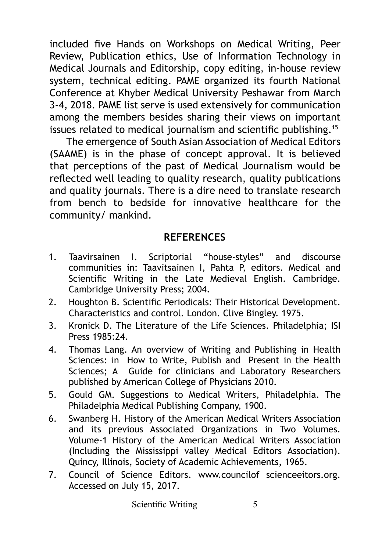included five Hands on Workshops on Medical Writing, Peer Review, Publication ethics, Use of Information Technology in Medical Journals and Editorship, copy editing, in-house review system, technical editing. PAME organized its fourth National Conference at Khyber Medical University Peshawar from March 3-4, 2018. PAME list serve is used extensively for communication among the members besides sharing their views on important issues related to medical journalism and scientific publishing.<sup>15</sup>

The emergence of South Asian Association of Medical Editors (SAAME) is in the phase of concept approval. It is believed that perceptions of the past of Medical Journalism would be reflected well leading to quality research, quality publications and quality journals. There is a dire need to translate research from bench to bedside for innovative healthcare for the community/ mankind.

## **REFERENCES**

- 1. Taavirsainen I. Scriptorial "house-styles" and discourse communities in: Taavitsainen I, Pahta P, editors. Medical and Scientific Writing in the Late Medieval English. Cambridge. Cambridge University Press; 2004.
- 2. Houghton B. Scientific Periodicals: Their Historical Development. Characteristics and control. London. Clive Bingley. 1975.
- 3. Kronick D. The Literature of the Life Sciences. Philadelphia; ISI Press 1985:24.
- 4. Thomas Lang. An overview of Writing and Publishing in Health Sciences: in How to Write, Publish and Present in the Health Sciences; A Guide for clinicians and Laboratory Researchers published by American College of Physicians 2010.
- 5. Gould GM. Suggestions to Medical Writers, Philadelphia. The Philadelphia Medical Publishing Company, 1900.
- 6. Swanberg H. History of the American Medical Writers Association and its previous Associated Organizations in Two Volumes. Volume-1 History of the American Medical Writers Association (Including the Mississippi valley Medical Editors Association). Quincy, Illinois, Society of Academic Achievements, 1965.
- 7. Council of Science Editors. [www.councilof](http://www.councilof) scienceeitors.org. Accessed on July 15, 2017.